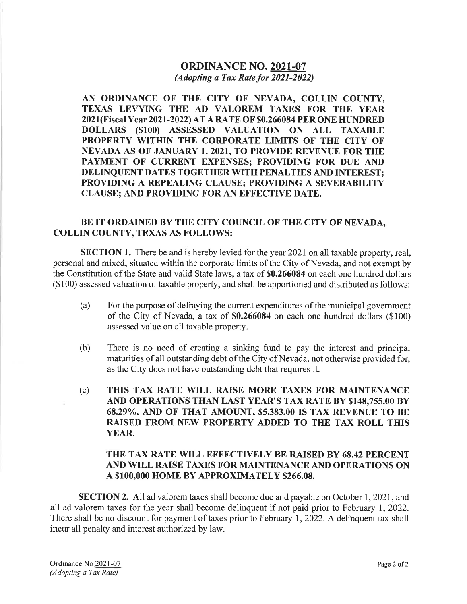## ORDINANCE NO.2021-07 (Adopting a Tax Rate for 2021-2022)

AN ORDINANCE OF THE CITY OF NEVADA, COLLIN COUNTY, TEXAS LEVYING THE AD VALOREM TAXES FOR THE YEAR 202 1 (FiscalY ear 2021 -2022) AT A RATE OF \$0.266084 PER ONE HUNDRED DOLLARS (\$100) ASSESSED VALUATION ON ALL TAXABLE PROPERTY WITHIN THE CORPORATE LIMITS OF THE CITY OF NEVADA AS OF JANUARY I,2O2I, TO PROVIDE REVENUE FOR THE PAYMENT OF CURRENT EXPENSES; PROVIDING FOR DUE AND DELINQUENT DATES TOGETHER WITH PENALTIES AND INTEREST; PROVIDING A REPEALING CLAUSE; PROVIDING A SEVERABILITY CLAUSE; AND PROVIDING FOR AN EFFECTIVE DATE.

## BE IT ORDAINED BY THE CITY COUNCIL OF THE CITY OF NEVADA, COLLIN COUNTY, TEXAS AS FOLLOWS:

SECTION 1. There be and is hereby levied for the year 2021 on all taxable property, real, personal and mixed, situated within the corporate limits of the City of Nevada, and not exempt by the Constitution of the State and valid State laws, a tax of \$0.266084 on each one hundred dollars (\$100) assessed valuation of taxable property, and shall be apportioned and distributed as follows:

- (a) For the purpose of defraying the current expenditures of the municipal govemment of the City of Nevada, a tax of \$0.266084 on each one hundred dollars (\$1OO; assessed value on all taxable property.
- (b) There is no need of creating a sinking fund to pay the interest and principal maturities of all outstanding debt of the City of Nevada, not otherwise provided for, as the City does not have outstanding debt that requires it.
- (c) THIS TAX RATE WILL RAISE MORE TAXES FOR MAINTENANCE AND OPERATIONS THAN LAST YEAR'S TAX RATE By \$148,755.00 By 68.29%, AND OF THAT AMOUNT, \$5,383.00 IS TAX REVENUE TO BE RAISED FROM NEW PROPERTY ADDED TO THE TAX ROLL THIS YEAR.

## THE TAX RATE WILL EFFECTIVELY BE RAISED BY 68.42 PERCENT AND WILL RAISE TAXES FOR MAINTENANCE AND OPERATIONS ON A \$1OO,OOO HOME BY APPROXIMATELY \$266.08.

SECTION 2. All ad valorem taxes shall become due and payable on October 1, 2021, and all ad valorem taxes for the year shall become delinquent if not paid prior to February 1, 2022. There shall be no discount for payment of taxes prior to February 1, 2022. A delinguent tax shall incur all penalty and interest authorized by law.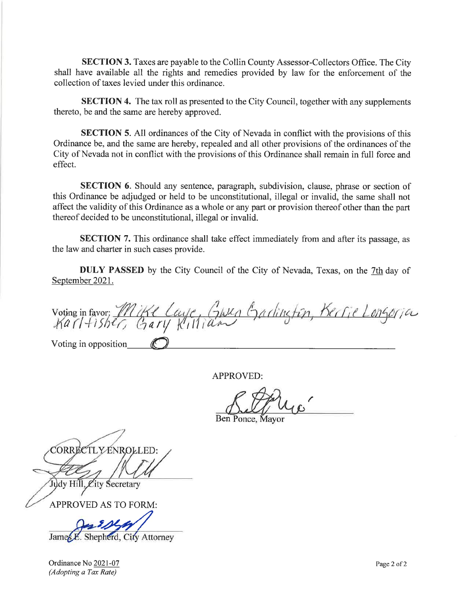**SECTION 3.** Taxes are payable to the Collin County Assessor-Collectors Office. The City shall have available all the rights and remedies provided by law for the enforcement of the collection of taxes levied under this ordinance.

SECTION 4. The tax roll as presented to the City Council, together with any supplements thereto, be and the same are hereby approved.

SECTION 5. All ordinances of the City of Nevada in conflict with the provisions of this Ordinance be, and the same are hereby, repealed and all other provisions of the ordinances of the City of Nevada not in conflict with the provisions of this Ordinance shall remain in full force and effect.

SECTION 6. Should any sentence, paragraph, subdivision, clause, phrase or section of this Ordinance be adjudged or held to be unconstitutional, illegal or invalid, the same shall not affect the validity of this Ordinance as a whole or any part or provision thereof other than the part thereof decided to be unconstitutional, illegal or invalid.

SECTION 7. This ordinance shall take effect immediately from and after its passage, as the law and charter in such cases provide.

DULY PASSED by the City Council of the City of Nevada, Texas, on the 7th day of September 2021.

Voting in favor: Mike Laye, GINRA Garlington, Kerlie Longoria Voting in opposition

APPROVED:

Ben Ponce, Mayor

CORRECTLY ENROLLED:

Judy Hill, City Secretary

APPROVED AS TO FORM:

 $9124/$ 

James E. Shepherd, City Attorney

Ordinance No 2021-07 (Adopting ø Tax Røte)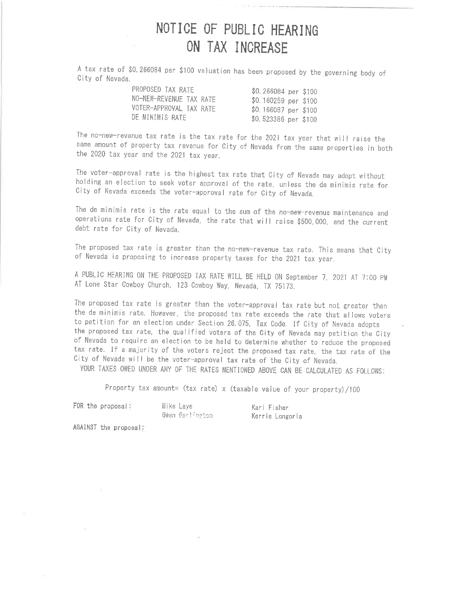## NOTICE OF PUBLIC HEARING ON TAX INCREASE

A tax rate of \$0.266084 per \$100 valuation has been proposed by the governing body of City of Nevada.

| PROPOSED TAX RATE       | \$0.266084 per \$100 |  |
|-------------------------|----------------------|--|
| NO-NEW-REVENUE TAX RATE | \$0.160259 per \$100 |  |
| VOTER-APPROVAL TAX RATE | \$0.166087 per \$100 |  |
| DE MINIMIS RATE         | \$0.523386 per \$100 |  |

The no-new-revenue tax rate is the tax rate for the 2021 tax year that will raise the same amount of property tax revenue for City of Nevada from the same properties in both the 2020 tax year and the 2021 tax year.

The voter-approval rate is the highest tax rate that City of Nevada may adopt without holding an election to seek voter approval of the rate, unless the de minimis rate for City of Nevada exceeds the voter-approval rate for City of Nevada.

The de minimis rate is the rate equal to the sum of the no-new-revenue maintenance and operations rate for City of Nevada, the rate that will raise \$500,000, and the current debt rate for City of Nevada.

The proposed tax rate is greater than the no-new-revenue tax rate. This means that City of Nevada is proposing to increase property taxes for the 2021 tax year.

A PUBLIC HEARING ON THE PROPOSED TAX RATE WILL BE HELD ON September 7, 2021 AT 7:00 PM AT Lone Star Cowboy Church, 123 Cowboy Way, Nevada, TX 75173.

The proposed tax rate is greater than the voter-approval tax rate but not greater than the de minimis rate. However, the proposed tax rate exceeds the rate that allows voters to petition for an election under Section 26.075, Tax Code. If City of Nevada adopts the proposed tax rate, the qualified voters of the City of Nevada may petition the City of Nevada to require an election to be held to determine whether to reduce the proposed tax rate. If a majority of the voters reject the proposed tax rate, the tax rate of the City of Nevada will be the voter-approval tax rate of the City of Nevada.

YOUR TAXES OWED UNDER ANY OF THE RATES MENTIONED ABOVE CAN BE CALCULATED AS FOLLOWS:

Property tax amount= (tax rate) x (taxable value of your property)/100

FOR the proposal:

Mike Laye Gwen Garlington

Karl Fisher Kerrie Longoria

AGAINST the proposal: